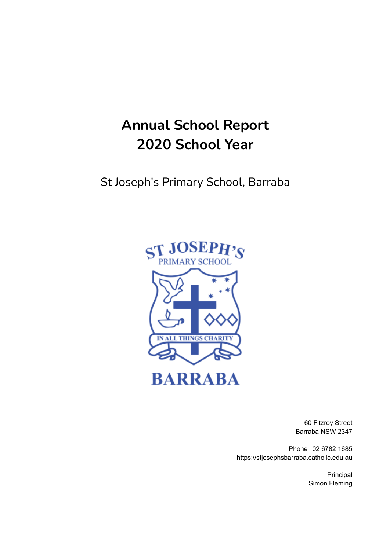# **Annual School Report 2020 School Year**

St Joseph's Primary School, Barraba



60 Fitzroy Street Barraba NSW 2347

Phone 02 6782 1685 https://stjosephsbarraba.catholic.edu.au

> Principal Simon Fleming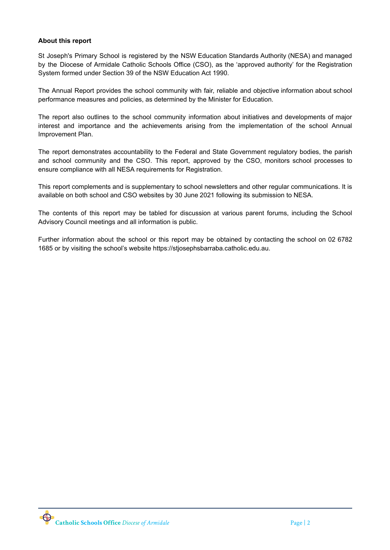## **About this report**

St Joseph's Primary School is registered by the NSW Education Standards Authority (NESA) and managed by the Diocese of Armidale Catholic Schools Office (CSO), as the 'approved authority' for the Registration System formed under Section 39 of the NSW Education Act 1990.

The Annual Report provides the school community with fair, reliable and objective information about school performance measures and policies, as determined by the Minister for Education.

The report also outlines to the school community information about initiatives and developments of major interest and importance and the achievements arising from the implementation of the school Annual Improvement Plan.

The report demonstrates accountability to the Federal and State Government regulatory bodies, the parish and school community and the CSO. This report, approved by the CSO, monitors school processes to ensure compliance with all NESA requirements for Registration.

This report complements and is supplementary to school newsletters and other regular communications. It is available on both school and CSO websites by 30 June 2021 following its submission to NESA.

The contents of this report may be tabled for discussion at various parent forums, including the School Advisory Council meetings and all information is public.

Further information about the school or this report may be obtained by contacting the school on 02 6782 1685 or by visiting the school's website https://stjosephsbarraba.catholic.edu.au.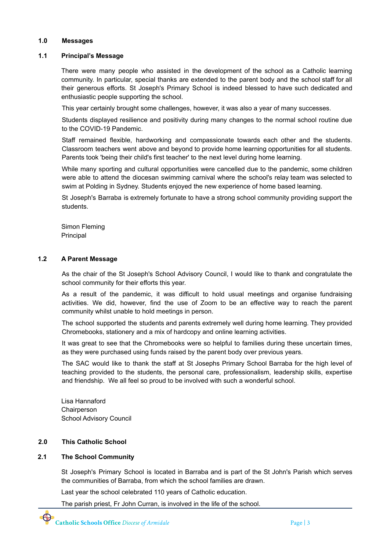#### **1.0 Messages**

## **1.1 Principal's Message**

There were many people who assisted in the development of the school as a Catholic learning community. In particular, special thanks are extended to the parent body and the school staff for all their generous efforts. St Joseph's Primary School is indeed blessed to have such dedicated and enthusiastic people supporting the school.

This year certainly brought some challenges, however, it was also a year of many successes.

Students displayed resilience and positivity during many changes to the normal school routine due to the COVID-19 Pandemic.

Staff remained flexible, hardworking and compassionate towards each other and the students. Classroom teachers went above and beyond to provide home learning opportunities for all students. Parents took 'being their child's first teacher' to the next level during home learning.

While many sporting and cultural opportunities were cancelled due to the pandemic, some children were able to attend the diocesan swimming carnival where the school's relay team was selected to swim at Polding in Sydney. Students enjoyed the new experience of home based learning.

St Joseph's Barraba is extremely fortunate to have a strong school community providing support the students.

Simon Fleming Principal

#### **1.2 A Parent Message**

As the chair of the St Joseph's School Advisory Council, I would like to thank and congratulate the school community for their efforts this year.

As a result of the pandemic, it was difficult to hold usual meetings and organise fundraising activities. We did, however, find the use of Zoom to be an effective way to reach the parent community whilst unable to hold meetings in person.

The school supported the students and parents extremely well during home learning. They provided Chromebooks, stationery and a mix of hardcopy and online learning activities.

It was great to see that the Chromebooks were so helpful to families during these uncertain times, as they were purchased using funds raised by the parent body over previous years.

The SAC would like to thank the staff at St Josephs Primary School Barraba for the high level of teaching provided to the students, the personal care, professionalism, leadership skills, expertise and friendship. We all feel so proud to be involved with such a wonderful school.

Lisa Hannaford Chairperson School Advisory Council

## **2.0 This Catholic School**

## **2.1 The School Community**

St Joseph's Primary School is located in Barraba and is part of the St John's Parish which serves the communities of Barraba, from which the school families are drawn.

Last year the school celebrated 110 years of Catholic education.

The parish priest, Fr John Curran, is involved in the life of the school.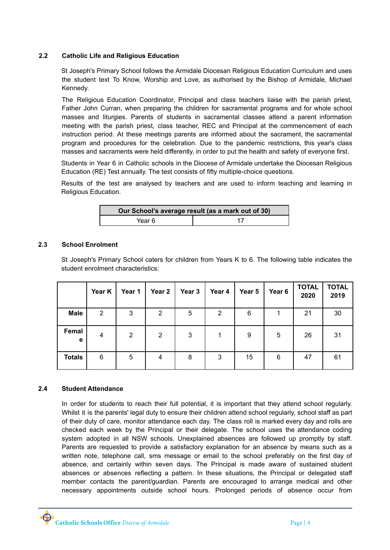## **2.2 Catholic Life and Religious Education**

St Joseph's Primary School follows the Armidale Diocesan Religious Education Curriculum and uses the student text To Know, Worship and Love, as authorised by the Bishop of Armidale, Michael Kennedy.

The Religious Education Coordinator, Principal and class teachers liaise with the parish priest, Father John Curran, when preparing the children for sacramental programs and for whole school masses and liturgies. Parents of students in sacramental classes attend a parent information meeting with the parish priest, class teacher, REC and Principal at the commencement of each instruction period. At these meetings parents are informed about the sacrament, the sacramental program and procedures for the celebration. Due to the pandemic restrictions, this year's class masses and sacraments were held differently, in order to put the health and safety of everyone first.

Students in Year 6 in Catholic schools in the Diocese of Armidale undertake the Diocesan Religious Education (RE) Test annually. The test consists of fifty multiple-choice questions.

Results of the test are analysed by teachers and are used to inform teaching and learning in Religious Education.

| Our School's average result (as a mark out of 30) |  |  |
|---------------------------------------------------|--|--|
| Year 6                                            |  |  |

# **2.3 School Enrolment**

St Joseph's Primary School caters for children from Years K to 6. The following table indicates the student enrolment characteristics:

|               | Year K | Year 1 | Year 2 | Year 3 | Year 4         | Year 5 | Year 6 | <b>TOTAL</b><br>2020 | <b>TOTAL</b><br>2019 |
|---------------|--------|--------|--------|--------|----------------|--------|--------|----------------------|----------------------|
| <b>Male</b>   | 2      | 3      | 2      | 5      | $\overline{2}$ | 6      |        | 21                   | 30                   |
| Femal<br>e    | 4      | 2      | 2      | 3      |                | 9      | 5      | 26                   | 31                   |
| <b>Totals</b> | 6      | 5      | 4      | 8      | 3              | 15     | 6      | 47                   | 61                   |

## **2.4 Student Attendance**

In order for students to reach their full potential, it is important that they attend school regularly. Whilst it is the parents' legal duty to ensure their children attend school regularly, school staff as part of their duty of care, monitor attendance each day. The class roll is marked every day and rolls are checked each week by the Principal or their delegate. The school uses the attendance coding system adopted in all NSW schools. Unexplained absences are followed up promptly by staff. Parents are requested to provide a satisfactory explanation for an absence by means such as a written note, telephone call, sms message or email to the school preferably on the first day of absence, and certainly within seven days. The Principal is made aware of sustained student absences or absences reflecting a pattern. In these situations, the Principal or delegated staff member contacts the parent/guardian. Parents are encouraged to arrange medical and other necessary appointments outside school hours. Prolonged periods of absence occur from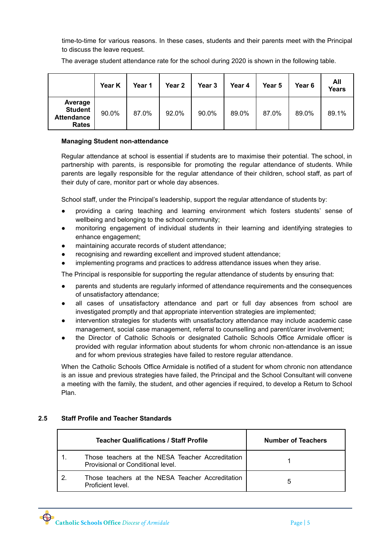time-to-time for various reasons. In these cases, students and their parents meet with the Principal to discuss the leave request.

The average student attendance rate for the school during 2020 is shown in the following table.

|                                                                | Year K | Year 1 | Year <sub>2</sub> | Year 3 | Year 4 | Year 5 | Year 6 | All<br><b>Years</b> |
|----------------------------------------------------------------|--------|--------|-------------------|--------|--------|--------|--------|---------------------|
| Average<br><b>Student</b><br><b>Attendance</b><br><b>Rates</b> | 90.0%  | 87.0%  | 92.0%             | 90.0%  | 89.0%  | 87.0%  | 89.0%  | 89.1%               |

# **Managing Student non-attendance**

Regular attendance at school is essential if students are to maximise their potential. The school, in partnership with parents, is responsible for promoting the regular attendance of students. While parents are legally responsible for the regular attendance of their children, school staff, as part of their duty of care, monitor part or whole day absences.

School staff, under the Principal's leadership, support the regular attendance of students by:

- providing a caring teaching and learning environment which fosters students' sense of wellbeing and belonging to the school community;
- monitoring engagement of individual students in their learning and identifying strategies to enhance engagement;
- maintaining accurate records of student attendance;
- recognising and rewarding excellent and improved student attendance;
- implementing programs and practices to address attendance issues when they arise.

The Principal is responsible for supporting the regular attendance of students by ensuring that:

- parents and students are regularly informed of attendance requirements and the consequences of unsatisfactory attendance;
- all cases of unsatisfactory attendance and part or full day absences from school are investigated promptly and that appropriate intervention strategies are implemented;
- intervention strategies for students with unsatisfactory attendance may include academic case management, social case management, referral to counselling and parent/carer involvement;
- the Director of Catholic Schools or designated Catholic Schools Office Armidale officer is provided with regular information about students for whom chronic non-attendance is an issue and for whom previous strategies have failed to restore regular attendance.

When the Catholic Schools Office Armidale is notified of a student for whom chronic non attendance is an issue and previous strategies have failed, the Principal and the School Consultant will convene a meeting with the family, the student, and other agencies if required, to develop a Return to School Plan.

# **2.5 Staff Profile and Teacher Standards**

| <b>Teacher Qualifications / Staff Profile</b>                                         | <b>Number of Teachers</b> |
|---------------------------------------------------------------------------------------|---------------------------|
| Those teachers at the NESA Teacher Accreditation<br>Provisional or Conditional level. |                           |
| Those teachers at the NESA Teacher Accreditation<br>Proficient level.                 | ۰.                        |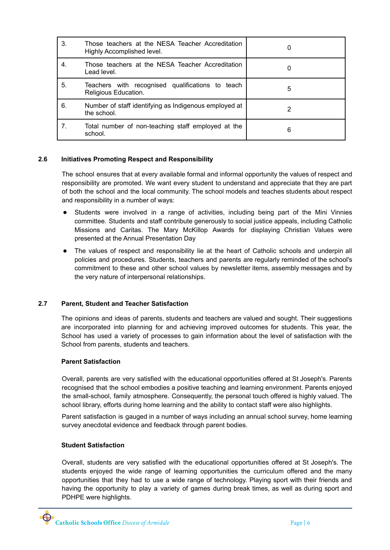| 3. | Those teachers at the NESA Teacher Accreditation<br>Highly Accomplished level. | O |
|----|--------------------------------------------------------------------------------|---|
| 4. | Those teachers at the NESA Teacher Accreditation<br>Lead level.                |   |
| 5. | Teachers with recognised qualifications to teach<br>Religious Education.       | 5 |
| 6. | Number of staff identifying as Indigenous employed at<br>the school.           |   |
|    | Total number of non-teaching staff employed at the<br>school.                  | 6 |

# **2.6 Initiatives Promoting Respect and Responsibility**

The school ensures that at every available formal and informal opportunity the values of respect and responsibility are promoted. We want every student to understand and appreciate that they are part of both the school and the local community. The school models and teaches students about respect and responsibility in a number of ways:

- Students were involved in a range of activities, including being part of the Mini Vinnies committee. Students and staff contribute generously to social justice appeals, including Catholic Missions and Caritas. The Mary McKillop Awards for displaying Christian Values were presented at the Annual Presentation Day
- The values of respect and responsibility lie at the heart of Catholic schools and underpin all policies and procedures. Students, teachers and parents are regularly reminded of the school's commitment to these and other school values by newsletter items, assembly messages and by the very nature of interpersonal relationships.

## **2.7 Parent, Student and Teacher Satisfaction**

The opinions and ideas of parents, students and teachers are valued and sought. Their suggestions are incorporated into planning for and achieving improved outcomes for students. This year, the School has used a variety of processes to gain information about the level of satisfaction with the School from parents, students and teachers.

## **Parent Satisfaction**

Overall, parents are very satisfied with the educational opportunities offered at St Joseph's. Parents recognised that the school embodies a positive teaching and learning environment. Parents enjoyed the small-school, family atmosphere. Consequently, the personal touch offered is highly valued. The school library, efforts during home learning and the ability to contact staff were also highlights.

Parent satisfaction is gauged in a number of ways including an annual school survey, home learning survey anecdotal evidence and feedback through parent bodies.

## **Student Satisfaction**

Overall, students are very satisfied with the educational opportunities offered at St Joseph's. The students enjoyed the wide range of learning opportunities the curriculum offered and the many opportunities that they had to use a wide range of technology. Playing sport with their friends and having the opportunity to play a variety of games during break times, as well as during sport and PDHPE were highlights.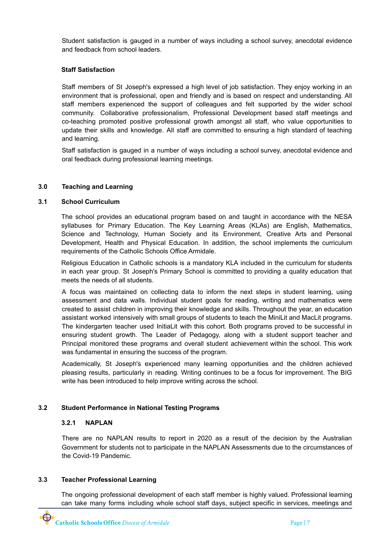Student satisfaction is gauged in a number of ways including a school survey, anecdotal evidence and feedback from school leaders.

# **Staff Satisfaction**

Staff members of St Joseph's expressed a high level of job satisfaction. They enjoy working in an environment that is professional, open and friendly and is based on respect and understanding. All staff members experienced the support of colleagues and felt supported by the wider school community. Collaborative professionalism, Professional Development based staff meetings and co-teaching promoted positive professional growth amongst all staff, who value opportunities to update their skills and knowledge. All staff are committed to ensuring a high standard of teaching and learning.

Staff satisfaction is gauged in a number of ways including a school survey, anecdotal evidence and oral feedback during professional learning meetings.

# **3.0 Teaching and Learning**

## **3.1 School Curriculum**

The school provides an educational program based on and taught in accordance with the NESA syllabuses for Primary Education. The Key Learning Areas (KLAs) are English, Mathematics, Science and Technology, Human Society and its Environment, Creative Arts and Personal Development, Health and Physical Education. In addition, the school implements the curriculum requirements of the Catholic Schools Office Armidale.

Religious Education in Catholic schools is a mandatory KLA included in the curriculum for students in each year group. St Joseph's Primary School is committed to providing a quality education that meets the needs of all students.

A focus was maintained on collecting data to inform the next steps in student learning, using assessment and data walls. Individual student goals for reading, writing and mathematics were created to assist children in improving their knowledge and skills. Throughout the year, an education assistant worked intensively with small groups of students to teach the MiniLit and MacLit programs. The kindergarten teacher used InitiaLit with this cohort. Both programs proved to be successful in ensuring student growth. The Leader of Pedagogy, along with a student support teacher and Principal monitored these programs and overall student achievement within the school. This work was fundamental in ensuring the success of the program.

Academically, St Joseph's experienced many learning opportunities and the children achieved pleasing results, particularly in reading. Writing continues to be a focus for improvement. The BIG write has been introduced to help improve writing across the school.

# **3.2 Student Performance in National Testing Programs**

## **3.2.1 NAPLAN**

There are no NAPLAN results to report in 2020 as a result of the decision by the Australian Government for students not to participate in the NAPLAN Assessments due to the circumstances of the Covid-19 Pandemic.

# **3.3 Teacher Professional Learning**

The ongoing professional development of each staff member is highly valued. Professional learning can take many forms including whole school staff days, subject specific in services, meetings and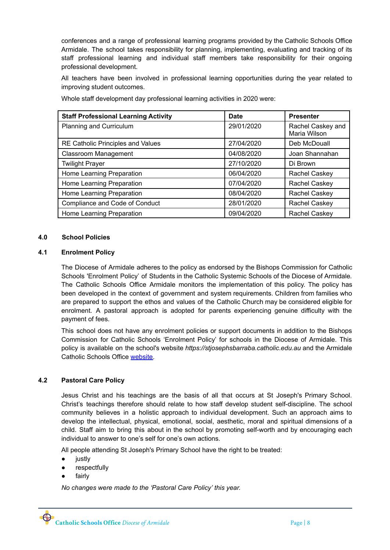conferences and a range of professional learning programs provided by the Catholic Schools Office Armidale. The school takes responsibility for planning, implementing, evaluating and tracking of its staff professional learning and individual staff members take responsibility for their ongoing professional development.

All teachers have been involved in professional learning opportunities during the year related to improving student outcomes.

| <b>Staff Professional Learning Activity</b> | <b>Date</b> | <b>Presenter</b>                  |
|---------------------------------------------|-------------|-----------------------------------|
| Planning and Curriculum                     | 29/01/2020  | Rachel Caskey and<br>Maria Wilson |
| RE Catholic Principles and Values           | 27/04/2020  | Deb McDouall                      |
| <b>Classroom Management</b>                 | 04/08/2020  | Joan Shannahan                    |
| <b>Twilight Prayer</b>                      | 27/10/2020  | Di Brown                          |
| Home Learning Preparation                   | 06/04/2020  | Rachel Caskey                     |
| Home Learning Preparation                   | 07/04/2020  | Rachel Caskey                     |
| Home Learning Preparation                   | 08/04/2020  | Rachel Caskey                     |
| Compliance and Code of Conduct              | 28/01/2020  | Rachel Caskey                     |
| Home Learning Preparation                   | 09/04/2020  | Rachel Caskey                     |

Whole staff development day professional learning activities in 2020 were:

#### **4.0 School Policies**

#### **4.1 Enrolment Policy**

The Diocese of Armidale adheres to the policy as endorsed by the Bishops Commission for Catholic Schools 'Enrolment Policy' of Students in the Catholic Systemic Schools of the Diocese of Armidale*.* The Catholic Schools Office Armidale monitors the implementation of this policy. The policy has been developed in the context of government and system requirements. Children from families who are prepared to support the ethos and values of the Catholic Church may be considered eligible for enrolment. A pastoral approach is adopted for parents experiencing genuine difficulty with the payment of fees.

This school does not have any enrolment policies or support documents in addition to the Bishops Commission for Catholic Schools 'Enrolment Policy' for schools in the Diocese of Armidale. This policy is available on the school's website *https://stjosephsbarraba.catholic.edu.au* and the Armidale Catholic Schools Office [website.](https://www.arm.catholic.edu.au)

## **4.2 Pastoral Care Policy**

Jesus Christ and his teachings are the basis of all that occurs at St Joseph's Primary School. Christ's teachings therefore should relate to how staff develop student self-discipline. The school community believes in a holistic approach to individual development. Such an approach aims to develop the intellectual, physical, emotional, social, aesthetic, moral and spiritual dimensions of a child. Staff aim to bring this about in the school by promoting self-worth and by encouraging each individual to answer to one's self for one's own actions.

All people attending St Joseph's Primary School have the right to be treated:

- justly
- respectfully
- fairly

*No changes were made to the 'Pastoral Care Policy' this year.*

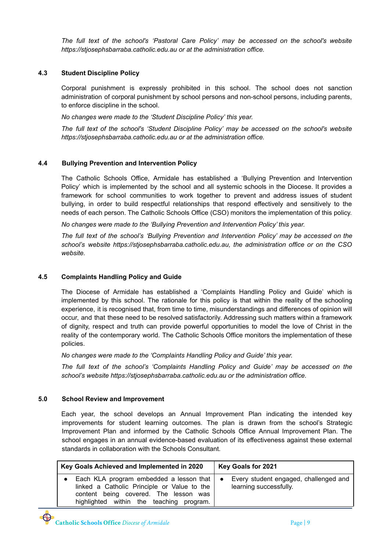*The full text of the school's 'Pastoral Care Policy' may be accessed on the school's website https://stjosephsbarraba.catholic.edu.au or at the administration office.*

# **4.3 Student Discipline Policy**

Corporal punishment is expressly prohibited in this school. The school does not sanction administration of corporal punishment by school persons and non-school persons, including parents, to enforce discipline in the school.

*No changes were made to the 'Student Discipline Policy' this year.*

*The full text of the school's 'Student Discipline Policy' may be accessed on the school's website https://stjosephsbarraba.catholic.edu.au or at the administration office.*

# **4.4 Bullying Prevention and Intervention Policy**

The Catholic Schools Office, Armidale has established a 'Bullying Prevention and Intervention Policy' which is implemented by the school and all systemic schools in the Diocese. It provides a framework for school communities to work together to prevent and address issues of student bullying, in order to build respectful relationships that respond effectively and sensitively to the needs of each person. The Catholic Schools Office (CSO) monitors the implementation of this policy.

*No changes were made to the 'Bullying Prevention and Intervention Policy' this year.*

*The full text of the school's 'Bullying Prevention and Intervention Policy' may be accessed on the school's website https://stjosephsbarraba.catholic.edu.au, the administration office or on the CSO website.*

## **4.5 Complaints Handling Policy and Guide**

The Diocese of Armidale has established a 'Complaints Handling Policy and Guide' which is implemented by this school. The rationale for this policy is that within the reality of the schooling experience, it is recognised that, from time to time, misunderstandings and differences of opinion will occur, and that these need to be resolved satisfactorily. Addressing such matters within a framework of dignity, respect and truth can provide powerful opportunities to model the love of Christ in the reality of the contemporary world. The Catholic Schools Office monitors the implementation of these policies.

*No changes were made to the 'Complaints Handling Policy and Guide' this year.*

*The full text of the school's 'Complaints Handling Policy and Guide' may be accessed on the school's website https://stjosephsbarraba.catholic.edu.au or the administration office.*

## **5.0 School Review and Improvement**

Each year, the school develops an Annual Improvement Plan indicating the intended key improvements for student learning outcomes. The plan is drawn from the school's Strategic Improvement Plan and informed by the Catholic Schools Office Annual Improvement Plan. The school engages in an annual evidence-based evaluation of its effectiveness against these external standards in collaboration with the Schools Consultant.

| Key Goals Achieved and Implemented in 2020                                                                                                                                  | Key Goals for 2021                                                           |  |  |
|-----------------------------------------------------------------------------------------------------------------------------------------------------------------------------|------------------------------------------------------------------------------|--|--|
| Each KLA program embedded a lesson that<br>linked a Catholic Principle or Value to the<br>content being covered. The lesson was<br>highlighted within the teaching program. | Every student engaged, challenged and<br>$\bullet$<br>learning successfully. |  |  |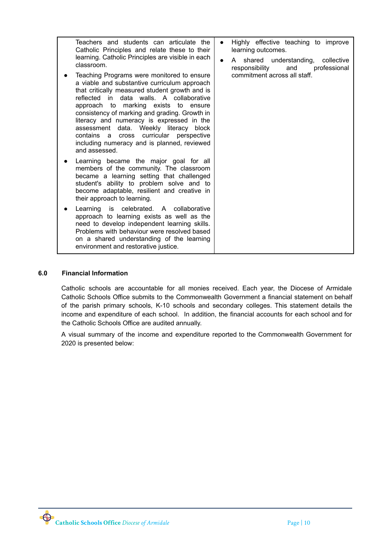| Teachers and students can articulate the<br>Catholic Principles and relate these to their<br>learning. Catholic Principles are visible in each<br>classroom.<br>Teaching Programs were monitored to ensure<br>a viable and substantive curriculum approach<br>that critically measured student growth and is<br>reflected in data walls. A collaborative<br>approach to marking exists to ensure<br>consistency of marking and grading. Growth in<br>literacy and numeracy is expressed in the<br>assessment data. Weekly literacy block<br>cross curricular perspective<br>contains a<br>including numeracy and is planned, reviewed<br>and assessed. | Highly effective teaching to improve<br>$\bullet$<br>learning outcomes.<br>shared understanding, collective<br>A<br>responsibility<br>and<br>professional<br>commitment across all staff. |
|--------------------------------------------------------------------------------------------------------------------------------------------------------------------------------------------------------------------------------------------------------------------------------------------------------------------------------------------------------------------------------------------------------------------------------------------------------------------------------------------------------------------------------------------------------------------------------------------------------------------------------------------------------|-------------------------------------------------------------------------------------------------------------------------------------------------------------------------------------------|
| Learning became the major goal for all<br>members of the community. The classroom<br>became a learning setting that challenged<br>student's ability to problem solve and to<br>become adaptable, resilient and creative in<br>their approach to learning.                                                                                                                                                                                                                                                                                                                                                                                              |                                                                                                                                                                                           |
| Learning is celebrated. A collaborative<br>approach to learning exists as well as the<br>need to develop independent learning skills.<br>Problems with behaviour were resolved based<br>on a shared understanding of the learning<br>environment and restorative justice.                                                                                                                                                                                                                                                                                                                                                                              |                                                                                                                                                                                           |

## **6.0 Financial Information**

Catholic schools are accountable for all monies received. Each year, the Diocese of Armidale Catholic Schools Office submits to the Commonwealth Government a financial statement on behalf of the parish primary schools, K-10 schools and secondary colleges. This statement details the income and expenditure of each school. In addition, the financial accounts for each school and for the Catholic Schools Office are audited annually.

A visual summary of the income and expenditure reported to the Commonwealth Government for 2020 is presented below: